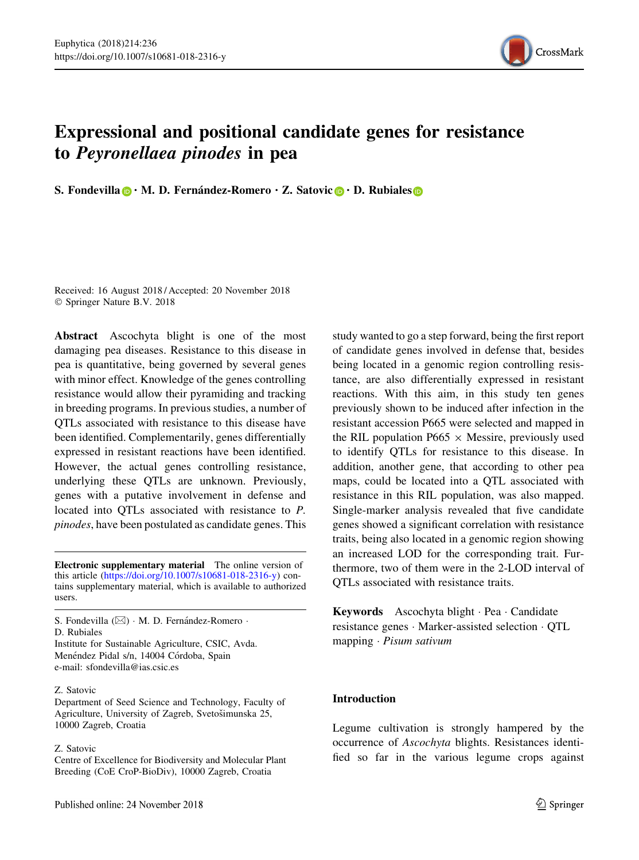

# Expressional and positional candidate genes for resistance to Peyronellaea pinodes in pea

S. Fondevilla **.** M. D. Fernández-Romero · Z. Satovic **.** D. Rubiales **.** 

Received: 16 August 2018 / Accepted: 20 November 2018 © Springer Nature B.V. 2018

Abstract Ascochyta blight is one of the most damaging pea diseases. Resistance to this disease in pea is quantitative, being governed by several genes with minor effect. Knowledge of the genes controlling resistance would allow their pyramiding and tracking in breeding programs. In previous studies, a number of QTLs associated with resistance to this disease have been identified. Complementarily, genes differentially expressed in resistant reactions have been identified. However, the actual genes controlling resistance, underlying these QTLs are unknown. Previously, genes with a putative involvement in defense and located into QTLs associated with resistance to P. pinodes, have been postulated as candidate genes. This

Electronic supplementary material The online version of this article [\(https://doi.org/10.1007/s10681-018-2316-y](https://doi.org/10.1007/s10681-018-2316-y)) contains supplementary material, which is available to authorized users.

S. Fondevilla (⊠) · M. D. Fernández-Romero · D. Rubiales Institute for Sustainable Agriculture, CSIC, Avda.

Menéndez Pidal s/n, 14004 Córdoba, Spain e-mail: sfondevilla@ias.csic.es

#### Z. Satovic

Department of Seed Science and Technology, Faculty of Agriculture, University of Zagreb, Svetošimunska 25, 10000 Zagreb, Croatia

#### Z. Satovic

study wanted to go a step forward, being the first report of candidate genes involved in defense that, besides being located in a genomic region controlling resistance, are also differentially expressed in resistant reactions. With this aim, in this study ten genes previously shown to be induced after infection in the resistant accession P665 were selected and mapped in the RIL population P665  $\times$  Messire, previously used to identify QTLs for resistance to this disease. In addition, another gene, that according to other pea maps, could be located into a QTL associated with resistance in this RIL population, was also mapped. Single-marker analysis revealed that five candidate genes showed a significant correlation with resistance traits, being also located in a genomic region showing an increased LOD for the corresponding trait. Furthermore, two of them were in the 2-LOD interval of QTLs associated with resistance traits.

Keywords Ascochyta blight · Pea · Candidate resistance genes - Marker-assisted selection - QTL mapping - Pisum sativum

# Introduction

Legume cultivation is strongly hampered by the occurrence of Ascochyta blights. Resistances identified so far in the various legume crops against

Centre of Excellence for Biodiversity and Molecular Plant Breeding (CoE CroP-BioDiv), 10000 Zagreb, Croatia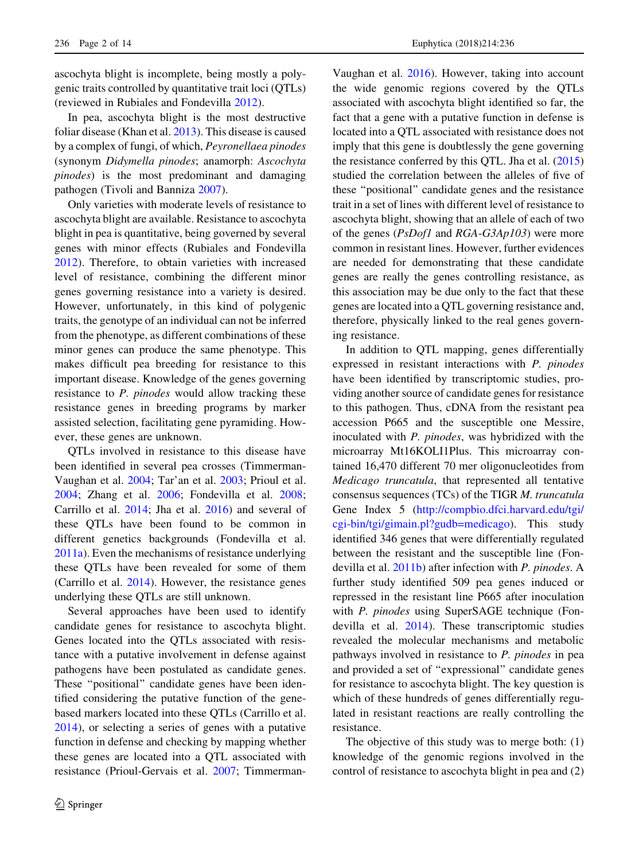ascochyta blight is incomplete, being mostly a polygenic traits controlled by quantitative trait loci (QTLs) (reviewed in Rubiales and Fondevilla [2012\)](#page-12-0).

In pea, ascochyta blight is the most destructive foliar disease (Khan et al. [2013](#page-12-0)). This disease is caused by a complex of fungi, of which, Peyronellaea pinodes (synonym Didymella pinodes; anamorph: Ascochyta pinodes) is the most predominant and damaging pathogen (Tivoli and Banniza [2007\)](#page-13-0).

Only varieties with moderate levels of resistance to ascochyta blight are available. Resistance to ascochyta blight in pea is quantitative, being governed by several genes with minor effects (Rubiales and Fondevilla [2012\)](#page-12-0). Therefore, to obtain varieties with increased level of resistance, combining the different minor genes governing resistance into a variety is desired. However, unfortunately, in this kind of polygenic traits, the genotype of an individual can not be inferred from the phenotype, as different combinations of these minor genes can produce the same phenotype. This makes difficult pea breeding for resistance to this important disease. Knowledge of the genes governing resistance to P. pinodes would allow tracking these resistance genes in breeding programs by marker assisted selection, facilitating gene pyramiding. However, these genes are unknown.

QTLs involved in resistance to this disease have been identified in several pea crosses (Timmerman-Vaughan et al. [2004](#page-12-0); Tar'an et al. [2003](#page-12-0); Prioul et al. [2004;](#page-12-0) Zhang et al. [2006](#page-13-0); Fondevilla et al. [2008](#page-12-0); Carrillo et al. [2014;](#page-11-0) Jha et al. [2016\)](#page-12-0) and several of these QTLs have been found to be common in different genetics backgrounds (Fondevilla et al. [2011a](#page-12-0)). Even the mechanisms of resistance underlying these QTLs have been revealed for some of them (Carrillo et al. [2014\)](#page-11-0). However, the resistance genes underlying these QTLs are still unknown.

Several approaches have been used to identify candidate genes for resistance to ascochyta blight. Genes located into the QTLs associated with resistance with a putative involvement in defense against pathogens have been postulated as candidate genes. These ''positional'' candidate genes have been identified considering the putative function of the genebased markers located into these QTLs (Carrillo et al. [2014\)](#page-11-0), or selecting a series of genes with a putative function in defense and checking by mapping whether these genes are located into a QTL associated with resistance (Prioul-Gervais et al. [2007](#page-12-0); Timmerman-

Vaughan et al. [2016\)](#page-13-0). However, taking into account the wide genomic regions covered by the QTLs associated with ascochyta blight identified so far, the fact that a gene with a putative function in defense is located into a QTL associated with resistance does not imply that this gene is doubtlessly the gene governing the resistance conferred by this QTL. Jha et al. [\(2015\)](#page-12-0) studied the correlation between the alleles of five of these ''positional'' candidate genes and the resistance trait in a set of lines with different level of resistance to ascochyta blight, showing that an allele of each of two of the genes (*PsDof1* and *RGA-G3Ap103*) were more common in resistant lines. However, further evidences are needed for demonstrating that these candidate genes are really the genes controlling resistance, as this association may be due only to the fact that these genes are located into a QTL governing resistance and, therefore, physically linked to the real genes governing resistance.

In addition to QTL mapping, genes differentially expressed in resistant interactions with P. pinodes have been identified by transcriptomic studies, providing another source of candidate genes for resistance to this pathogen. Thus, cDNA from the resistant pea accession P665 and the susceptible one Messire, inoculated with P. pinodes, was hybridized with the microarray Mt16KOLI1Plus. This microarray contained 16,470 different 70 mer oligonucleotides from Medicago truncatula, that represented all tentative consensus sequences (TCs) of the TIGR M. truncatula Gene Index 5 ([http://compbio.dfci.harvard.edu/tgi/](http://compbio.dfci.harvard.edu/tgi/cgi-bin/tgi/gimain.pl%3fgudb%3dmedicago) [cgi-bin/tgi/gimain.pl?gudb=medicago\)](http://compbio.dfci.harvard.edu/tgi/cgi-bin/tgi/gimain.pl%3fgudb%3dmedicago). This study identified 346 genes that were differentially regulated between the resistant and the susceptible line (Fondevilla et al. [2011b](#page-12-0)) after infection with P. pinodes. A further study identified 509 pea genes induced or repressed in the resistant line P665 after inoculation with P. pinodes using SuperSAGE technique (Fondevilla et al. [2014](#page-12-0)). These transcriptomic studies revealed the molecular mechanisms and metabolic pathways involved in resistance to P. pinodes in pea and provided a set of ''expressional'' candidate genes for resistance to ascochyta blight. The key question is which of these hundreds of genes differentially regulated in resistant reactions are really controlling the resistance.

The objective of this study was to merge both: (1) knowledge of the genomic regions involved in the control of resistance to ascochyta blight in pea and (2)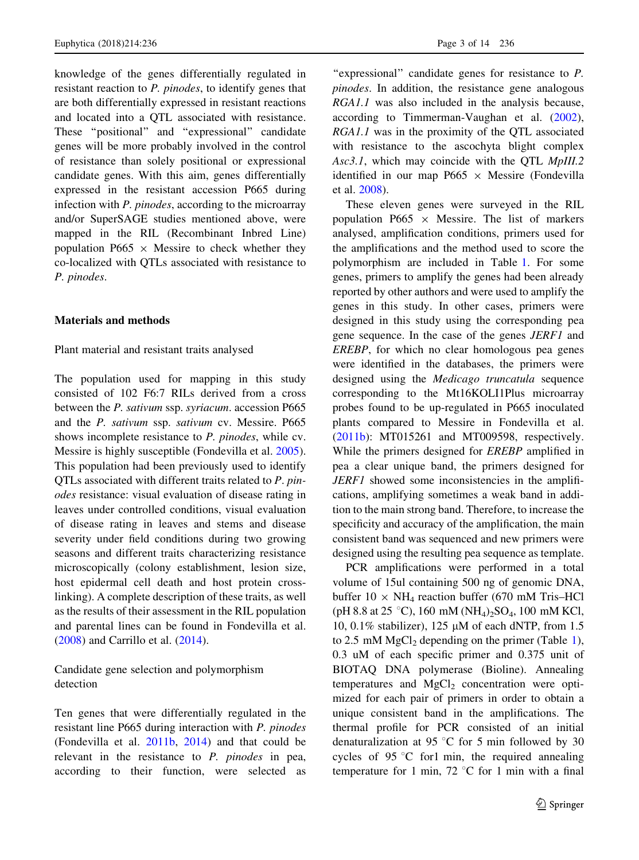knowledge of the genes differentially regulated in resistant reaction to P. pinodes, to identify genes that are both differentially expressed in resistant reactions and located into a QTL associated with resistance. These "positional" and "expressional" candidate genes will be more probably involved in the control of resistance than solely positional or expressional candidate genes. With this aim, genes differentially expressed in the resistant accession P665 during infection with *P. pinodes*, according to the microarray and/or SuperSAGE studies mentioned above, were mapped in the RIL (Recombinant Inbred Line) population P665  $\times$  Messire to check whether they co-localized with QTLs associated with resistance to P. pinodes.

#### Materials and methods

## Plant material and resistant traits analysed

The population used for mapping in this study consisted of 102 F6:7 RILs derived from a cross between the P. sativum ssp. syriacum. accession P665 and the P. sativum ssp. sativum cv. Messire. P665 shows incomplete resistance to P. pinodes, while cv. Messire is highly susceptible (Fondevilla et al. [2005](#page-12-0)). This population had been previously used to identify QTLs associated with different traits related to P. pinodes resistance: visual evaluation of disease rating in leaves under controlled conditions, visual evaluation of disease rating in leaves and stems and disease severity under field conditions during two growing seasons and different traits characterizing resistance microscopically (colony establishment, lesion size, host epidermal cell death and host protein crosslinking). A complete description of these traits, as well as the results of their assessment in the RIL population and parental lines can be found in Fondevilla et al. [\(2008](#page-12-0)) and Carrillo et al. [\(2014](#page-11-0)).

Candidate gene selection and polymorphism detection

Ten genes that were differentially regulated in the resistant line P665 during interaction with P. pinodes (Fondevilla et al. [2011b](#page-12-0), [2014\)](#page-12-0) and that could be relevant in the resistance to P. pinodes in pea, according to their function, were selected as

"expressional" candidate genes for resistance to  $P$ . pinodes. In addition, the resistance gene analogous RGA1.1 was also included in the analysis because, according to Timmerman-Vaughan et al. ([2002](#page-12-0)), RGA1.1 was in the proximity of the QTL associated with resistance to the ascochyta blight complex Asc3.1, which may coincide with the QTL MpIII.2 identified in our map  $P665 \times$  Messire (Fondevilla et al. [2008](#page-12-0)).

These eleven genes were surveyed in the RIL population P665  $\times$  Messire. The list of markers analysed, amplification conditions, primers used for the amplifications and the method used to score the polymorphism are included in Table [1.](#page-3-0) For some genes, primers to amplify the genes had been already reported by other authors and were used to amplify the genes in this study. In other cases, primers were designed in this study using the corresponding pea gene sequence. In the case of the genes JERF1 and EREBP, for which no clear homologous pea genes were identified in the databases, the primers were designed using the Medicago truncatula sequence corresponding to the Mt16KOLI1Plus microarray probes found to be up-regulated in P665 inoculated plants compared to Messire in Fondevilla et al. [\(2011b](#page-12-0)): MT015261 and MT009598, respectively. While the primers designed for EREBP amplified in pea a clear unique band, the primers designed for JERF1 showed some inconsistencies in the amplifications, amplifying sometimes a weak band in addition to the main strong band. Therefore, to increase the specificity and accuracy of the amplification, the main consistent band was sequenced and new primers were designed using the resulting pea sequence as template.

PCR amplifications were performed in a total volume of 15ul containing 500 ng of genomic DNA, buffer  $10 \times NH_4$  reaction buffer (670 mM Tris–HCl (pH 8.8 at 25 °C), 160 mM (NH<sub>4</sub>)<sub>2</sub>SO<sub>4</sub>, 100 mM KCl, 10, 0.1% stabilizer), 125  $\mu$ M of each dNTP, from 1.5 to 2.5 mM  $MgCl<sub>2</sub>$  depending on the primer (Table [1](#page-3-0)), 0.3 uM of each specific primer and 0.375 unit of BIOTAQ DNA polymerase (Bioline). Annealing temperatures and  $MgCl<sub>2</sub>$  concentration were optimized for each pair of primers in order to obtain a unique consistent band in the amplifications. The thermal profile for PCR consisted of an initial denaturalization at 95  $\degree$ C for 5 min followed by 30 cycles of 95 $\degree$ C for1 min, the required annealing temperature for 1 min,  $72 \text{ °C}$  for 1 min with a final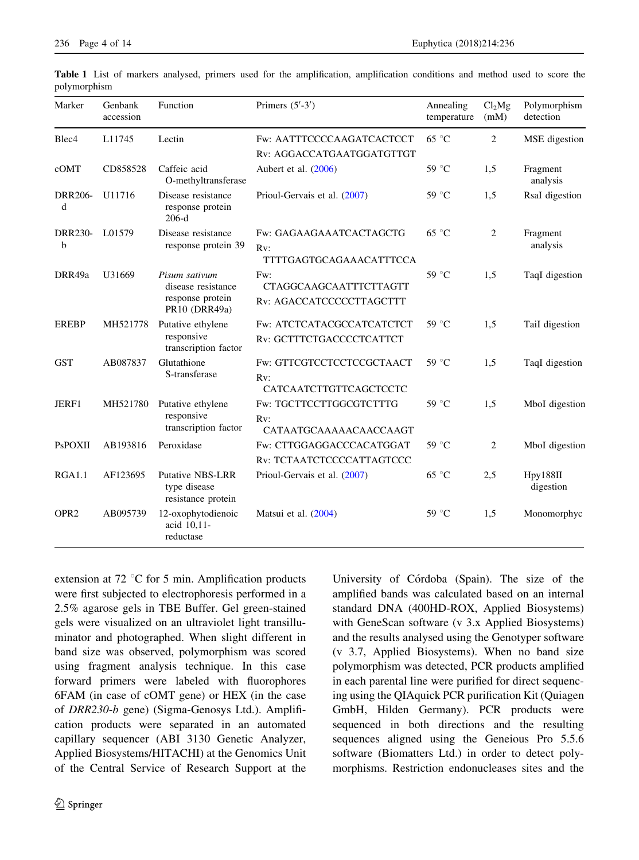| Marker              | Genbank<br>accession | Function                                                                 | Primers $(5' - 3')$                                              | Annealing<br>temperature | Cl <sub>2</sub> Mg<br>(mM) | Polymorphism<br>detection |
|---------------------|----------------------|--------------------------------------------------------------------------|------------------------------------------------------------------|--------------------------|----------------------------|---------------------------|
| Blec <sub>4</sub>   | L11745               | Lectin                                                                   | Fw: AATTTCCCCAAGATCACTCCT<br>Rv: AGGACCATGAATGGATGTTGT           | $65^{\circ}$ C           | 2                          | MSE digestion             |
| cOMT                | CD858528             | Caffeic acid<br>O-methyltransferase                                      | Aubert et al. $(2006)$                                           | 59 °C                    | 1,5                        | Fragment<br>analysis      |
| <b>DRR206-</b><br>d | U11716               | Disease resistance<br>response protein<br>$206-d$                        | Prioul-Gervais et al. (2007)                                     | 59 $^{\circ}$ C          | 1.5                        | RsaI digestion            |
| <b>DRR230-</b><br>b | L01579               | Disease resistance<br>response protein 39                                | Fw: GAGAAGAAATCACTAGCTG<br>Rv:<br><b>TTTTGAGTGCAGAAACATTTCCA</b> | 65 °C                    | 2                          | Fragment<br>analysis      |
| DRR49a              | U31669               | Pisum sativum<br>disease resistance<br>response protein<br>PR10 (DRR49a) | Fw:<br><b>CTAGGCAAGCAATTTCTTAGTT</b><br>RV: AGACCATCCCCCTTAGCTTT | 59 °C                    | 1.5                        | TaqI digestion            |
| <b>EREBP</b>        | MH521778             | Putative ethylene<br>responsive<br>transcription factor                  | Fw: ATCTCATACGCCATCATCTCT<br>RV: GCTTTCTGACCCCTCATTCT            | 59 $^{\circ}$ C          | 1.5                        | TaiI digestion            |
| <b>GST</b>          | AB087837             | Glutathione<br>S-transferase                                             | Fw: GTTCGTCCTCCTCCGCTAACT<br>Rv:<br>CATCAATCTTGTTCAGCTCCTC       | 59 $\degree$ C           | 1.5                        | TaqI digestion            |
| JERF1               | MH521780             | Putative ethylene<br>responsive<br>transcription factor                  | Fw: TGCTTCCTTGGCGTCTTTG<br>Rv:<br>CATAATGCAAAAACAACCAAGT         | 59 $\degree$ C           | 1.5                        | MboI digestion            |
| <b>PsPOXII</b>      | AB193816             | Peroxidase                                                               | Fw: CTTGGAGGACCCACATGGAT<br>RV: TCTAATCTCCCCATTAGTCCC            | 59 °C                    | 2                          | MboI digestion            |
| RGA1.1              | AF123695             | <b>Putative NBS-LRR</b><br>type disease<br>resistance protein            | Prioul-Gervais et al. (2007)                                     | $65^{\circ}$ C           | 2,5                        | Hpy188II<br>digestion     |
| OPR <sub>2</sub>    | AB095739             | 12-oxophytodienoic<br>acid 10,11-<br>reductase                           | Matsui et al. (2004)                                             | 59 $^{\circ}$ C          | 1,5                        | Monomorphyc               |

<span id="page-3-0"></span>Table 1 List of markers analysed, primers used for the amplification, amplification conditions and method used to score the polymorphism

extension at 72  $\degree$ C for 5 min. Amplification products were first subjected to electrophoresis performed in a 2.5% agarose gels in TBE Buffer. Gel green-stained gels were visualized on an ultraviolet light transilluminator and photographed. When slight different in band size was observed, polymorphism was scored using fragment analysis technique. In this case forward primers were labeled with fluorophores 6FAM (in case of cOMT gene) or HEX (in the case of DRR230-b gene) (Sigma-Genosys Ltd.). Amplification products were separated in an automated capillary sequencer (ABI 3130 Genetic Analyzer, Applied Biosystems/HITACHI) at the Genomics Unit of the Central Service of Research Support at the

 $\circled{2}$  Springer

University of Córdoba (Spain). The size of the amplified bands was calculated based on an internal standard DNA (400HD-ROX, Applied Biosystems) with GeneScan software (v 3.x Applied Biosystems) and the results analysed using the Genotyper software (v 3.7, Applied Biosystems). When no band size polymorphism was detected, PCR products amplified in each parental line were purified for direct sequencing using the QIAquick PCR purification Kit (Quiagen GmbH, Hilden Germany). PCR products were sequenced in both directions and the resulting sequences aligned using the Geneious Pro 5.5.6 software (Biomatters Ltd.) in order to detect polymorphisms. Restriction endonucleases sites and the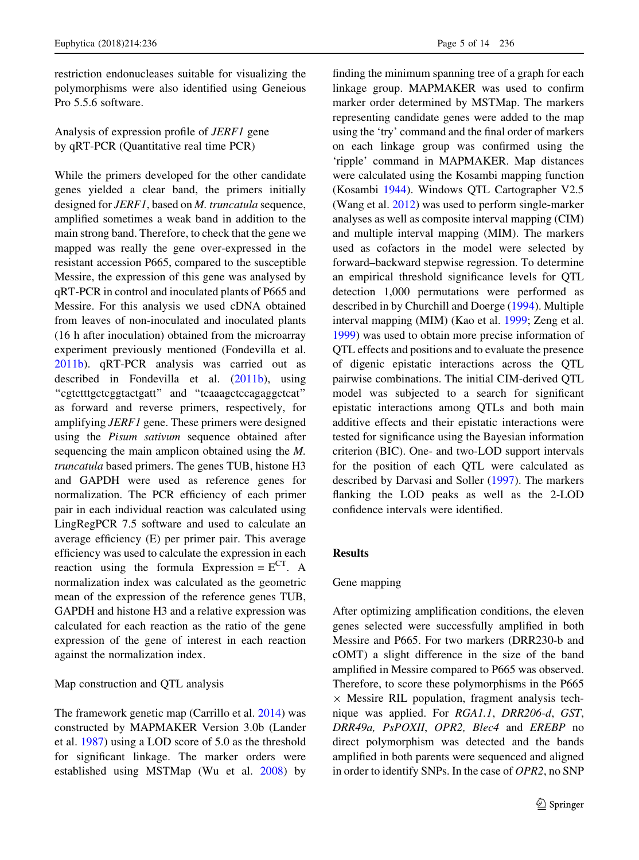restriction endonucleases suitable for visualizing the polymorphisms were also identified using Geneious Pro 5.5.6 software.

# Analysis of expression profile of JERF1 gene by qRT-PCR (Quantitative real time PCR)

While the primers developed for the other candidate genes yielded a clear band, the primers initially designed for *JERF1*, based on *M. truncatula* sequence, amplified sometimes a weak band in addition to the main strong band. Therefore, to check that the gene we mapped was really the gene over-expressed in the resistant accession P665, compared to the susceptible Messire, the expression of this gene was analysed by qRT-PCR in control and inoculated plants of P665 and Messire. For this analysis we used cDNA obtained from leaves of non-inoculated and inoculated plants (16 h after inoculation) obtained from the microarray experiment previously mentioned (Fondevilla et al. [2011b\)](#page-12-0). qRT-PCR analysis was carried out as described in Fondevilla et al. ([2011b\)](#page-12-0), using ''cgtctttgctcggtactgatt'' and ''tcaaagctccagaggctcat'' as forward and reverse primers, respectively, for amplifying JERF1 gene. These primers were designed using the Pisum sativum sequence obtained after sequencing the main amplicon obtained using the M. truncatula based primers. The genes TUB, histone H3 and GAPDH were used as reference genes for normalization. The PCR efficiency of each primer pair in each individual reaction was calculated using LingRegPCR 7.5 software and used to calculate an average efficiency (E) per primer pair. This average efficiency was used to calculate the expression in each reaction using the formula Expression =  $E^{CT}$ . A normalization index was calculated as the geometric mean of the expression of the reference genes TUB, GAPDH and histone H3 and a relative expression was calculated for each reaction as the ratio of the gene expression of the gene of interest in each reaction against the normalization index.

# Map construction and QTL analysis

The framework genetic map (Carrillo et al. [2014\)](#page-11-0) was constructed by MAPMAKER Version 3.0b (Lander et al. [1987](#page-12-0)) using a LOD score of 5.0 as the threshold for significant linkage. The marker orders were established using MSTMap (Wu et al. [2008\)](#page-13-0) by

finding the minimum spanning tree of a graph for each linkage group. MAPMAKER was used to confirm marker order determined by MSTMap. The markers representing candidate genes were added to the map using the 'try' command and the final order of markers on each linkage group was confirmed using the 'ripple' command in MAPMAKER. Map distances were calculated using the Kosambi mapping function (Kosambi [1944](#page-12-0)). Windows QTL Cartographer V2.5 (Wang et al. [2012](#page-13-0)) was used to perform single-marker analyses as well as composite interval mapping (CIM) and multiple interval mapping (MIM). The markers used as cofactors in the model were selected by forward–backward stepwise regression. To determine an empirical threshold significance levels for QTL detection 1,000 permutations were performed as described in by Churchill and Doerge ([1994\)](#page-11-0). Multiple interval mapping (MIM) (Kao et al. [1999;](#page-12-0) Zeng et al. [1999\)](#page-13-0) was used to obtain more precise information of QTL effects and positions and to evaluate the presence of digenic epistatic interactions across the QTL pairwise combinations. The initial CIM-derived QTL model was subjected to a search for significant epistatic interactions among QTLs and both main additive effects and their epistatic interactions were tested for significance using the Bayesian information criterion (BIC). One- and two-LOD support intervals for the position of each QTL were calculated as described by Darvasi and Soller ([1997\)](#page-12-0). The markers flanking the LOD peaks as well as the 2-LOD confidence intervals were identified.

# Results

# Gene mapping

After optimizing amplification conditions, the eleven genes selected were successfully amplified in both Messire and P665. For two markers (DRR230-b and cOMT) a slight difference in the size of the band amplified in Messire compared to P665 was observed. Therefore, to score these polymorphisms in the P665  $\times$  Messire RIL population, fragment analysis technique was applied. For RGA1.1, DRR206-d, GST, DRR49a, PsPOXII, OPR2, Blec4 and EREBP no direct polymorphism was detected and the bands amplified in both parents were sequenced and aligned in order to identify SNPs. In the case of OPR2, no SNP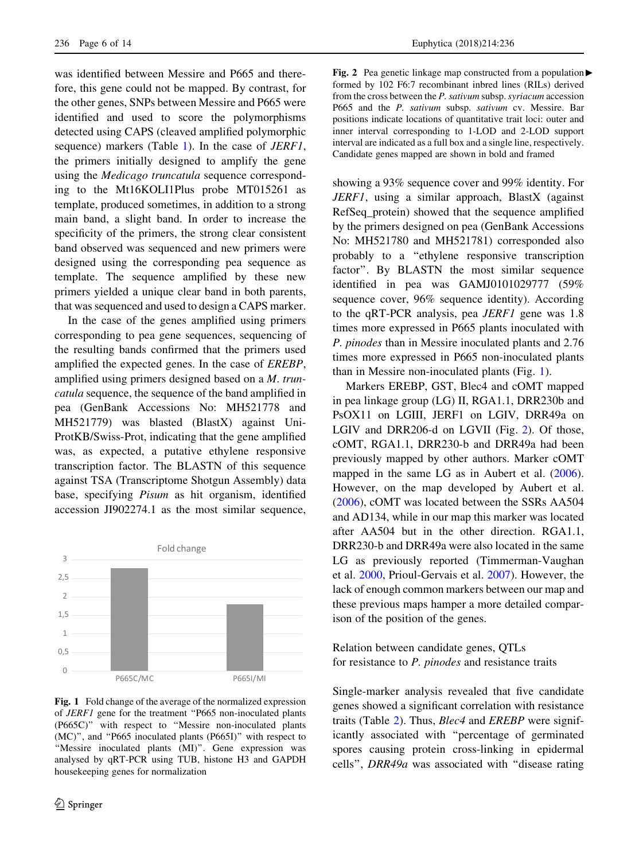was identified between Messire and P665 and therefore, this gene could not be mapped. By contrast, for the other genes, SNPs between Messire and P665 were identified and used to score the polymorphisms detected using CAPS (cleaved amplified polymorphic sequence) markers (Table [1](#page-3-0)). In the case of *JERF1*, the primers initially designed to amplify the gene using the Medicago truncatula sequence corresponding to the Mt16KOLI1Plus probe MT015261 as template, produced sometimes, in addition to a strong main band, a slight band. In order to increase the specificity of the primers, the strong clear consistent band observed was sequenced and new primers were designed using the corresponding pea sequence as template. The sequence amplified by these new primers yielded a unique clear band in both parents, that was sequenced and used to design a CAPS marker.

In the case of the genes amplified using primers corresponding to pea gene sequences, sequencing of the resulting bands confirmed that the primers used amplified the expected genes. In the case of EREBP, amplified using primers designed based on a M. truncatula sequence, the sequence of the band amplified in pea (GenBank Accessions No: MH521778 and MH521779) was blasted (BlastX) against Uni-ProtKB/Swiss-Prot, indicating that the gene amplified was, as expected, a putative ethylene responsive transcription factor. The BLASTN of this sequence against TSA (Transcriptome Shotgun Assembly) data base, specifying Pisum as hit organism, identified accession JI902274.1 as the most similar sequence,



Fig. 1 Fold change of the average of the normalized expression of JERF1 gene for the treatment ''P665 non-inoculated plants (P665C)'' with respect to ''Messire non-inoculated plants (MC)'', and ''P665 inoculated plants (P665I)'' with respect to ''Messire inoculated plants (MI)''. Gene expression was analysed by qRT-PCR using TUB, histone H3 and GAPDH housekeeping genes for normalization

Fig. 2 Pea genetic linkage map constructed from a population $\blacktriangleright$ formed by 102 F6:7 recombinant inbred lines (RILs) derived from the cross between the P. sativum subsp. syriacum accession P665 and the P. sativum subsp. sativum cv. Messire. Bar positions indicate locations of quantitative trait loci: outer and inner interval corresponding to 1-LOD and 2-LOD support interval are indicated as a full box and a single line, respectively. Candidate genes mapped are shown in bold and framed

showing a 93% sequence cover and 99% identity. For JERF1, using a similar approach, BlastX (against RefSeq\_protein) showed that the sequence amplified by the primers designed on pea (GenBank Accessions No: MH521780 and MH521781) corresponded also probably to a ''ethylene responsive transcription factor''. By BLASTN the most similar sequence identified in pea was GAMJ0101029777 (59% sequence cover, 96% sequence identity). According to the qRT-PCR analysis, pea JERF1 gene was 1.8 times more expressed in P665 plants inoculated with P. pinodes than in Messire inoculated plants and 2.76 times more expressed in P665 non-inoculated plants than in Messire non-inoculated plants (Fig. 1).

Markers EREBP, GST, Blec4 and cOMT mapped in pea linkage group (LG) II, RGA1.1, DRR230b and PsOX11 on LGIII, JERF1 on LGIV, DRR49a on LGIV and DRR206-d on LGVII (Fig. 2). Of those, cOMT, RGA1.1, DRR230-b and DRR49a had been previously mapped by other authors. Marker cOMT mapped in the same LG as in Aubert et al. ([2006](#page-11-0)). However, on the map developed by Aubert et al. [\(2006](#page-11-0)), cOMT was located between the SSRs AA504 and AD134, while in our map this marker was located after AA504 but in the other direction. RGA1.1, DRR230-b and DRR49a were also located in the same LG as previously reported (Timmerman-Vaughan et al. [2000,](#page-12-0) Prioul-Gervais et al. [2007](#page-12-0)). However, the lack of enough common markers between our map and these previous maps hamper a more detailed comparison of the position of the genes.

Relation between candidate genes, QTLs for resistance to P. pinodes and resistance traits

Single-marker analysis revealed that five candidate genes showed a significant correlation with resistance traits (Table [2](#page-8-0)). Thus, Blec4 and EREBP were significantly associated with ''percentage of germinated spores causing protein cross-linking in epidermal cells'', DRR49a was associated with ''disease rating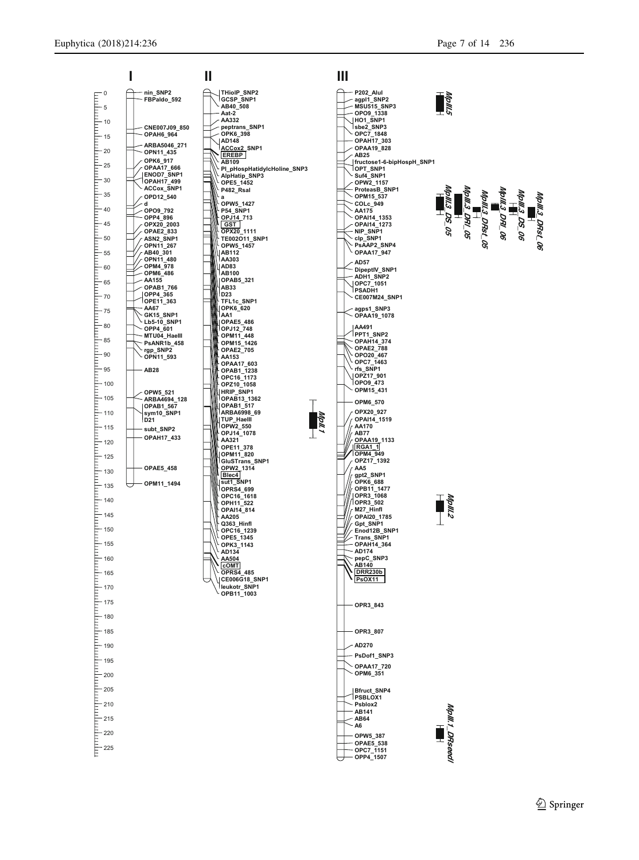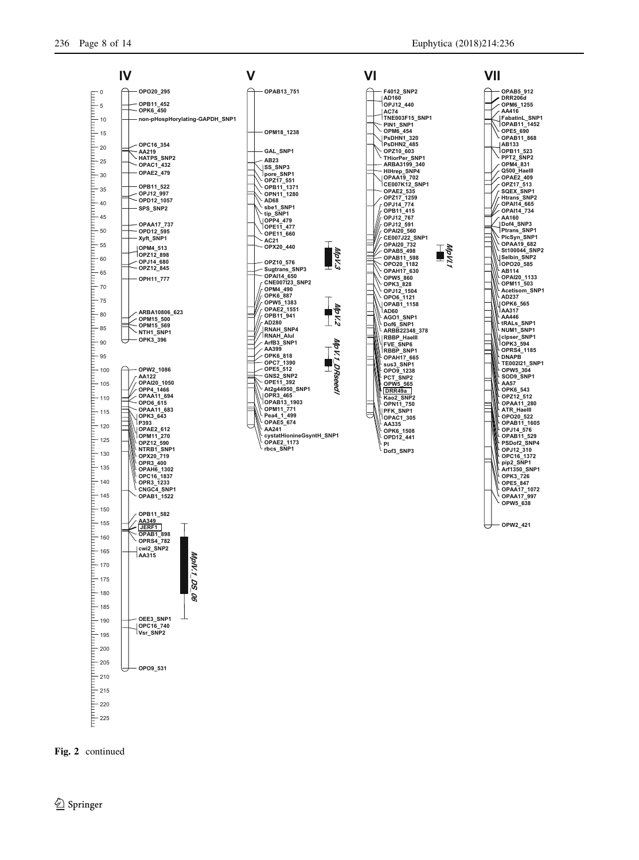

Fig. 2 continued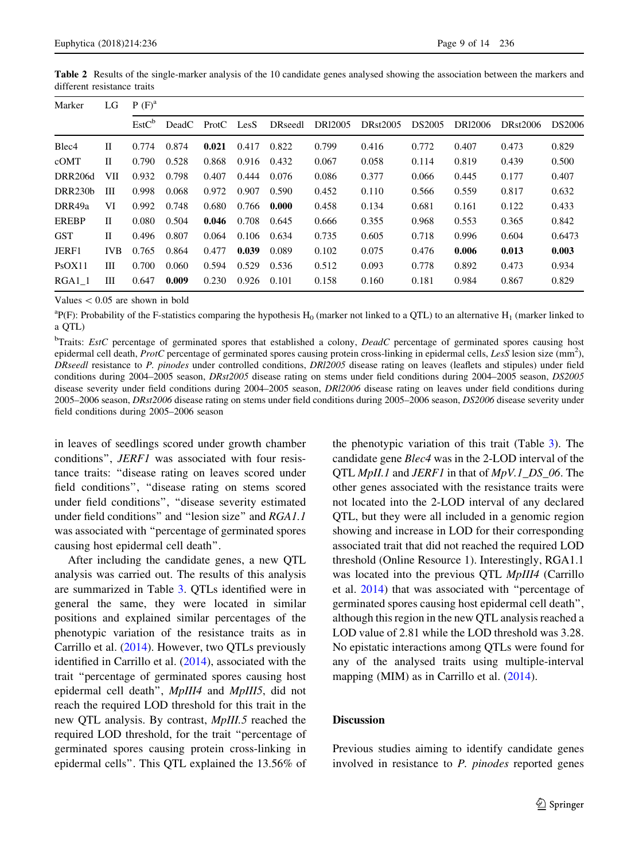<span id="page-8-0"></span>Table 2 Results of the single-marker analysis of the 10 candidate genes analysed showing the association between the markers and different resistance traits

| Marker            | LG         | $P(F)^a$ |       |            |       |                |         |                 |        |         |                       |               |  |  |
|-------------------|------------|----------|-------|------------|-------|----------------|---------|-----------------|--------|---------|-----------------------|---------------|--|--|
|                   |            | $EstC^b$ | DeadC | ProtC LesS |       | <b>DRseedl</b> | DR12005 | <b>DRst2005</b> | DS2005 | DR12006 | DR <sub>st</sub> 2006 | <b>DS2006</b> |  |  |
| Blec <sub>4</sub> | П          | 0.774    | 0.874 | 0.021      | 0.417 | 0.822          | 0.799   | 0.416           | 0.772  | 0.407   | 0.473                 | 0.829         |  |  |
| cOMT              | H          | 0.790    | 0.528 | 0.868      | 0.916 | 0.432          | 0.067   | 0.058           | 0.114  | 0.819   | 0.439                 | 0.500         |  |  |
| <b>DRR206d</b>    | VІІ        | 0.932    | 0.798 | 0.407      | 0.444 | 0.076          | 0.086   | 0.377           | 0.066  | 0.445   | 0.177                 | 0.407         |  |  |
| DRR230b           | Ш          | 0.998    | 0.068 | 0.972      | 0.907 | 0.590          | 0.452   | 0.110           | 0.566  | 0.559   | 0.817                 | 0.632         |  |  |
| DRR49a            | VI         | 0.992    | 0.748 | 0.680      | 0.766 | 0.000          | 0.458   | 0.134           | 0.681  | 0.161   | 0.122                 | 0.433         |  |  |
| <b>EREBP</b>      | H          | 0.080    | 0.504 | 0.046      | 0.708 | 0.645          | 0.666   | 0.355           | 0.968  | 0.553   | 0.365                 | 0.842         |  |  |
| <b>GST</b>        | П          | 0.496    | 0.807 | 0.064      | 0.106 | 0.634          | 0.735   | 0.605           | 0.718  | 0.996   | 0.604                 | 0.6473        |  |  |
| JERF1             | <b>IVB</b> | 0.765    | 0.864 | 0.477      | 0.039 | 0.089          | 0.102   | 0.075           | 0.476  | 0.006   | 0.013                 | 0.003         |  |  |
| PsOX11            | Ш          | 0.700    | 0.060 | 0.594      | 0.529 | 0.536          | 0.512   | 0.093           | 0.778  | 0.892   | 0.473                 | 0.934         |  |  |
| RGA11             | Ш          | 0.647    | 0.009 | 0.230      | 0.926 | 0.101          | 0.158   | 0.160           | 0.181  | 0.984   | 0.867                 | 0.829         |  |  |

Values  $< 0.05$  are shown in bold

<sup>a</sup>P(F): Probability of the F-statistics comparing the hypothesis  $H_0$  (marker not linked to a QTL) to an alternative  $H_1$  (marker linked to a QTL)

<sup>b</sup>Traits: *EstC* percentage of germinated spores that established a colony, *DeadC* percentage of germinated spores causing host epidermal cell death, ProtC percentage of germinated spores causing protein cross-linking in epidermal cells, LesS lesion size (mm<sup>2</sup>), DRseedl resistance to P. pinodes under controlled conditions, DRl2005 disease rating on leaves (leaflets and stipules) under field conditions during 2004–2005 season, DRst2005 disease rating on stems under field conditions during 2004–2005 season, DS2005 disease severity under field conditions during 2004–2005 season, DRl2006 disease rating on leaves under field conditions during 2005–2006 season, DRst2006 disease rating on stems under field conditions during 2005–2006 season, DS2006 disease severity under field conditions during 2005–2006 season

in leaves of seedlings scored under growth chamber conditions'', JERF1 was associated with four resistance traits: ''disease rating on leaves scored under field conditions'', ''disease rating on stems scored under field conditions'', ''disease severity estimated under field conditions" and "lesion size" and RGA1.1 was associated with ''percentage of germinated spores causing host epidermal cell death''.

After including the candidate genes, a new QTL analysis was carried out. The results of this analysis are summarized in Table [3](#page-9-0). QTLs identified were in general the same, they were located in similar positions and explained similar percentages of the phenotypic variation of the resistance traits as in Carrillo et al. [\(2014](#page-11-0)). However, two QTLs previously identified in Carrillo et al. [\(2014](#page-11-0)), associated with the trait ''percentage of germinated spores causing host epidermal cell death'', MpIII4 and MpIII5, did not reach the required LOD threshold for this trait in the new QTL analysis. By contrast, MpIII.5 reached the required LOD threshold, for the trait ''percentage of germinated spores causing protein cross-linking in epidermal cells''. This QTL explained the 13.56% of the phenotypic variation of this trait (Table [3\)](#page-9-0). The candidate gene Blec4 was in the 2-LOD interval of the QTL *MpII.1* and *JERF1* in that of *MpV.1\_DS\_06*. The other genes associated with the resistance traits were not located into the 2-LOD interval of any declared QTL, but they were all included in a genomic region showing and increase in LOD for their corresponding associated trait that did not reached the required LOD threshold (Online Resource 1). Interestingly, RGA1.1 was located into the previous QTL MpIII4 (Carrillo et al. [2014\)](#page-11-0) that was associated with ''percentage of germinated spores causing host epidermal cell death'', although this region in the new QTL analysis reached a LOD value of 2.81 while the LOD threshold was 3.28. No epistatic interactions among QTLs were found for any of the analysed traits using multiple-interval mapping (MIM) as in Carrillo et al. ([2014\)](#page-11-0).

## **Discussion**

Previous studies aiming to identify candidate genes involved in resistance to P. pinodes reported genes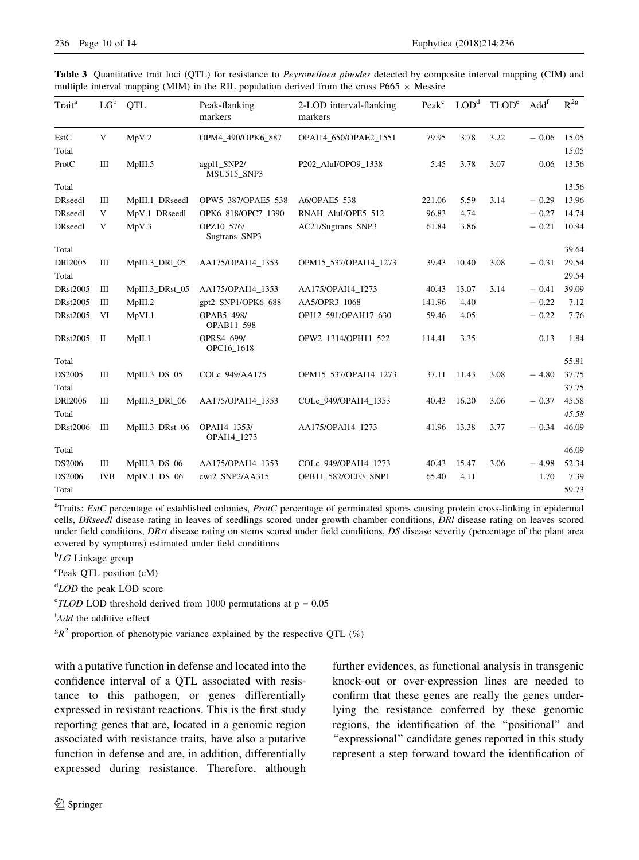<span id="page-9-0"></span>

| <b>Table 3</b> Quantitative trait loci (QTL) for resistance to <i>Peyronellaea pinodes</i> detected by composite interval mapping (CIM) and |  |  |  |  |  |
|---------------------------------------------------------------------------------------------------------------------------------------------|--|--|--|--|--|
| multiple interval mapping (MIM) in the RIL population derived from the cross $P665 \times$ Messire                                          |  |  |  |  |  |

| Trait <sup>a</sup> | $LG^b$         | <b>QTL</b>                                   | Peak-flanking<br>markers    | 2-LOD interval-flanking<br>markers | Peak <sup>c</sup> | LOD <sup>d</sup> | TLOD <sup>e</sup> | Add <sup>f</sup> | $R^{2g}$ |
|--------------------|----------------|----------------------------------------------|-----------------------------|------------------------------------|-------------------|------------------|-------------------|------------------|----------|
| EstC               | V              | MpV.2                                        | OPM4_490/OPK6_887           | OPAI14_650/OPAE2_1551              | 79.95             | 3.78             | 3.22              | $-0.06$          | 15.05    |
| Total              |                |                                              |                             |                                    |                   |                  |                   |                  | 15.05    |
| ProtC              | Ш              | MpIII.5<br>agpl1_SNP2/<br><b>MSU515_SNP3</b> |                             | P202_AluI/OPO9_1338                | 5.45              |                  |                   | 0.06             | 13.56    |
| Total              |                |                                              |                             |                                    |                   |                  |                   |                  | 13.56    |
| <b>DRseedl</b>     | Ш              | MpIII.1 DRseedl                              | OPW5 387/OPAE5 538          | A6/OPAE5 538                       | 221.06            | 5.59             | 3.14              | $-0.29$          | 13.96    |
| <b>DRseedl</b>     | V              | MpV.1 DRseedl                                | OPK6 818/OPC7 1390          | RNAH AluI/OPE5 512                 | 96.83             | 4.74             |                   | $-0.27$          | 14.74    |
| <b>DRseedl</b>     | V              | MpV.3                                        | OPZ10 576/<br>Sugtrans_SNP3 | AC21/Sugtrans SNP3                 | 61.84             | 3.86             |                   | $-0.21$          | 10.94    |
| Total              |                |                                              |                             |                                    |                   |                  |                   |                  | 39.64    |
| DR12005            | $\mathbf{III}$ | MpIII.3_DRI_05                               | AA175/OPAI14 1353           | OPM15 537/OPAI14 1273              | 39.43             | 10.40            | 3.08              | $-0.31$          | 29.54    |
| Total              |                |                                              |                             |                                    |                   |                  |                   |                  | 29.54    |
| <b>DRst2005</b>    | Ш              | MpIII.3_DRst_05                              | AA175/OPAI14 1353           | AA175/OPAI14 1273                  | 40.43             | 13.07            | 3.14              | $-0.41$          | 39.09    |
| <b>DRst2005</b>    | Ш              | MpIII.2                                      | gpt2_SNP1/OPK6_688          | AA5/OPR3 1068                      | 141.96            | 4.40             |                   | $-0.22$          | 7.12     |
| <b>DRst2005</b>    | VI             | MpVI.1                                       | OPAB5 498/<br>OPAB11 598    | OPJ12 591/OPAH17 630               | 59.46             | 4.05             |                   | $-0.22$          | 7.76     |
| <b>DRst2005</b>    | $\mathbf{I}$   | MpII.1                                       | OPRS4 699/<br>OPC16_1618    | OPW2 1314/OPH11 522                | 114.41            | 3.35             |                   | 0.13             | 1.84     |
| Total              |                |                                              |                             |                                    |                   |                  |                   |                  | 55.81    |
| DS2005             | Ш              | $MpIII.3$ <sub>DS</sub> $-05$                | COLc_949/AA175              | OPM15_537/OPAI14_1273              | 37.11             | 11.43            | 3.08              | $-4.80$          | 37.75    |
| Total              |                |                                              |                             |                                    |                   |                  |                   |                  | 37.75    |
| DR12006            | Ш              | MpIII.3_DR1_06                               | AA175/OPAI14_1353           | COLc_949/OPAI14_1353               | 40.43             | 16.20            | 3.06              | $-0.37$          | 45.58    |
| Total              |                |                                              |                             |                                    |                   |                  |                   |                  | 45.58    |
| <b>DRst2006</b>    | Ш              | MpIII.3_DRst_06                              | OPAI14_1353/<br>OPAI14_1273 | AA175/OPAI14_1273                  | 41.96             | 13.38            | 3.77              | $-0.34$          | 46.09    |
| Total              |                |                                              |                             |                                    |                   |                  |                   |                  | 46.09    |
| <b>DS2006</b>      | Ш              | $MpIII.3$ <sub>DS</sub> $-06$                | AA175/OPAI14 1353           | COLc 949/OPAI14 1273               | 40.43             | 15.47            | 3.06              | $-4.98$          | 52.34    |
| DS2006             | <b>IVB</b>     | MpIV.1 DS 06                                 | cwi2 SNP2/AA315             | OPB11 582/OEE3 SNP1                | 65.40             | 4.11             |                   | 1.70             | 7.39     |
| Total              |                |                                              |                             |                                    |                   |                  |                   |                  | 59.73    |

<sup>a</sup>Traits: EstC percentage of established colonies, ProtC percentage of germinated spores causing protein cross-linking in epidermal cells, DRseedl disease rating in leaves of seedlings scored under growth chamber conditions, DRl disease rating on leaves scored under field conditions, DRst disease rating on stems scored under field conditions, DS disease severity (percentage of the plant area covered by symptoms) estimated under field conditions

<sup>b</sup>LG Linkage group

c Peak QTL position (cM)

<sup>d</sup>LOD the peak LOD score

<sup>e</sup>TLOD LOD threshold derived from 1000 permutations at  $p = 0.05$ 

f *Add* the additive effect

 ${}^{g}R^{2}$  proportion of phenotypic variance explained by the respective QTL (%)

with a putative function in defense and located into the confidence interval of a QTL associated with resistance to this pathogen, or genes differentially expressed in resistant reactions. This is the first study reporting genes that are, located in a genomic region associated with resistance traits, have also a putative function in defense and are, in addition, differentially expressed during resistance. Therefore, although further evidences, as functional analysis in transgenic knock-out or over-expression lines are needed to confirm that these genes are really the genes underlying the resistance conferred by these genomic regions, the identification of the ''positional'' and ''expressional'' candidate genes reported in this study represent a step forward toward the identification of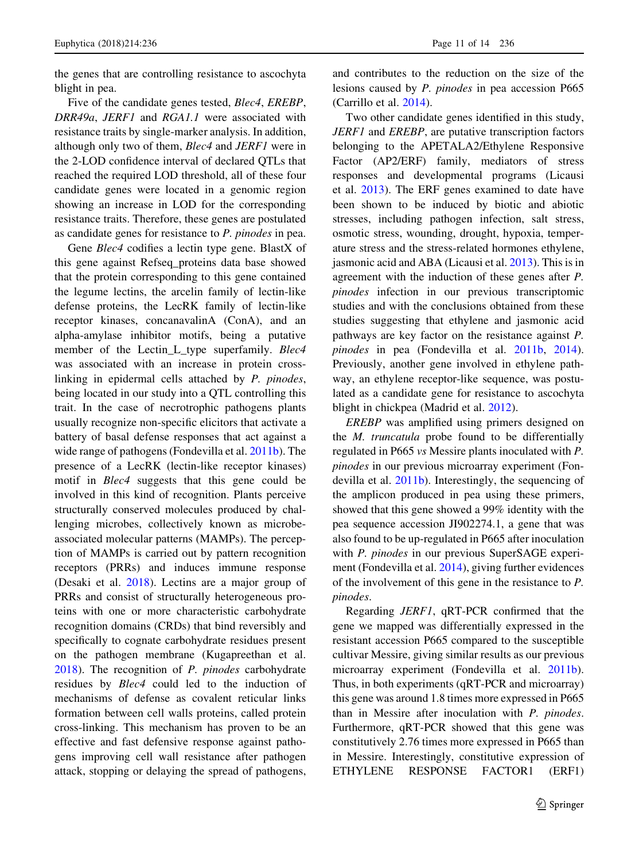the genes that are controlling resistance to ascochyta blight in pea.

Five of the candidate genes tested, Blec4, EREBP, DRR49a, JERF1 and RGA1.1 were associated with resistance traits by single-marker analysis. In addition, although only two of them, Blec4 and JERF1 were in the 2-LOD confidence interval of declared QTLs that reached the required LOD threshold, all of these four candidate genes were located in a genomic region showing an increase in LOD for the corresponding resistance traits. Therefore, these genes are postulated as candidate genes for resistance to P. pinodes in pea.

Gene Blec4 codifies a lectin type gene. BlastX of this gene against Refseq\_proteins data base showed that the protein corresponding to this gene contained the legume lectins, the arcelin family of lectin-like defense proteins, the LecRK family of lectin-like receptor kinases, concanavalinA (ConA), and an alpha-amylase inhibitor motifs, being a putative member of the Lectin\_L\_type superfamily. Blec4 was associated with an increase in protein crosslinking in epidermal cells attached by P. pinodes, being located in our study into a QTL controlling this trait. In the case of necrotrophic pathogens plants usually recognize non-specific elicitors that activate a battery of basal defense responses that act against a wide range of pathogens (Fondevilla et al. [2011b\)](#page-12-0). The presence of a LecRK (lectin-like receptor kinases) motif in Blec4 suggests that this gene could be involved in this kind of recognition. Plants perceive structurally conserved molecules produced by challenging microbes, collectively known as microbeassociated molecular patterns (MAMPs). The perception of MAMPs is carried out by pattern recognition receptors (PRRs) and induces immune response (Desaki et al. [2018](#page-12-0)). Lectins are a major group of PRRs and consist of structurally heterogeneous proteins with one or more characteristic carbohydrate recognition domains (CRDs) that bind reversibly and specifically to cognate carbohydrate residues present on the pathogen membrane (Kugapreethan et al. [2018\)](#page-12-0). The recognition of P. pinodes carbohydrate residues by Blec4 could led to the induction of mechanisms of defense as covalent reticular links formation between cell walls proteins, called protein cross-linking. This mechanism has proven to be an effective and fast defensive response against pathogens improving cell wall resistance after pathogen attack, stopping or delaying the spread of pathogens,

and contributes to the reduction on the size of the lesions caused by P. pinodes in pea accession P665 (Carrillo et al. [2014\)](#page-11-0).

Two other candidate genes identified in this study, JERF1 and EREBP, are putative transcription factors belonging to the APETALA2/Ethylene Responsive Factor (AP2/ERF) family, mediators of stress responses and developmental programs (Licausi et al. [2013](#page-12-0)). The ERF genes examined to date have been shown to be induced by biotic and abiotic stresses, including pathogen infection, salt stress, osmotic stress, wounding, drought, hypoxia, temperature stress and the stress-related hormones ethylene, jasmonic acid and ABA (Licausi et al. [2013\)](#page-12-0). This is in agreement with the induction of these genes after P. pinodes infection in our previous transcriptomic studies and with the conclusions obtained from these studies suggesting that ethylene and jasmonic acid pathways are key factor on the resistance against P. pinodes in pea (Fondevilla et al. [2011b](#page-12-0), [2014](#page-12-0)). Previously, another gene involved in ethylene pathway, an ethylene receptor-like sequence, was postulated as a candidate gene for resistance to ascochyta blight in chickpea (Madrid et al. [2012](#page-12-0)).

EREBP was amplified using primers designed on the M. truncatula probe found to be differentially regulated in P665 vs Messire plants inoculated with P. pinodes in our previous microarray experiment (Fondevilla et al. [2011b](#page-12-0)). Interestingly, the sequencing of the amplicon produced in pea using these primers, showed that this gene showed a 99% identity with the pea sequence accession JI902274.1, a gene that was also found to be up-regulated in P665 after inoculation with *P. pinodes* in our previous SuperSAGE experiment (Fondevilla et al. [2014](#page-12-0)), giving further evidences of the involvement of this gene in the resistance to P. pinodes.

Regarding JERF1, qRT-PCR confirmed that the gene we mapped was differentially expressed in the resistant accession P665 compared to the susceptible cultivar Messire, giving similar results as our previous microarray experiment (Fondevilla et al. [2011b](#page-12-0)). Thus, in both experiments (qRT-PCR and microarray) this gene was around 1.8 times more expressed in P665 than in Messire after inoculation with P. pinodes. Furthermore, qRT-PCR showed that this gene was constitutively 2.76 times more expressed in P665 than in Messire. Interestingly, constitutive expression of ETHYLENE RESPONSE FACTOR1 (ERF1)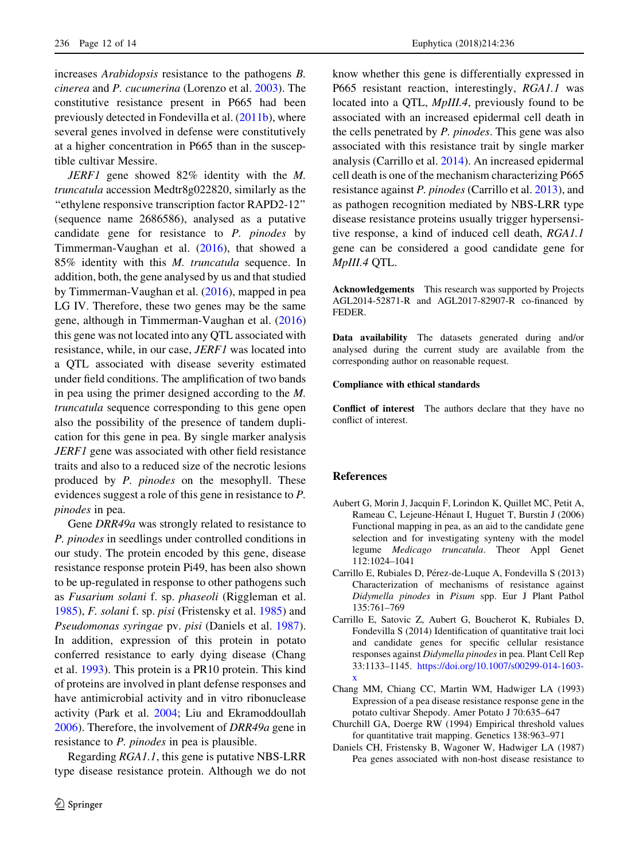<span id="page-11-0"></span>increases Arabidopsis resistance to the pathogens B. cinerea and P. cucumerina (Lorenzo et al. [2003](#page-12-0)). The constitutive resistance present in P665 had been previously detected in Fondevilla et al. [\(2011b](#page-12-0)), where several genes involved in defense were constitutively at a higher concentration in P665 than in the susceptible cultivar Messire.

JERF1 gene showed 82% identity with the M. truncatula accession Medtr8g022820, similarly as the ''ethylene responsive transcription factor RAPD2-12'' (sequence name 2686586), analysed as a putative candidate gene for resistance to P. pinodes by Timmerman-Vaughan et al. [\(2016](#page-13-0)), that showed a 85% identity with this M. truncatula sequence. In addition, both, the gene analysed by us and that studied by Timmerman-Vaughan et al. ([2016\)](#page-13-0), mapped in pea LG IV. Therefore, these two genes may be the same gene, although in Timmerman-Vaughan et al. ([2016\)](#page-13-0) this gene was not located into any QTL associated with resistance, while, in our case, JERF1 was located into a QTL associated with disease severity estimated under field conditions. The amplification of two bands in pea using the primer designed according to the M. truncatula sequence corresponding to this gene open also the possibility of the presence of tandem duplication for this gene in pea. By single marker analysis JERF1 gene was associated with other field resistance traits and also to a reduced size of the necrotic lesions produced by P. pinodes on the mesophyll. These evidences suggest a role of this gene in resistance to P. pinodes in pea.

Gene DRR49a was strongly related to resistance to P. pinodes in seedlings under controlled conditions in our study. The protein encoded by this gene, disease resistance response protein Pi49, has been also shown to be up-regulated in response to other pathogens such as Fusarium solani f. sp. phaseoli (Riggleman et al. [1985\)](#page-12-0), F. solani f. sp. pisi (Fristensky et al. [1985\)](#page-12-0) and Pseudomonas syringae pv. pisi (Daniels et al. 1987). In addition, expression of this protein in potato conferred resistance to early dying disease (Chang et al. 1993). This protein is a PR10 protein. This kind of proteins are involved in plant defense responses and have antimicrobial activity and in vitro ribonuclease activity (Park et al. [2004;](#page-12-0) Liu and Ekramoddoullah [2006\)](#page-12-0). Therefore, the involvement of DRR49a gene in resistance to P. pinodes in pea is plausible.

Regarding RGA1.1, this gene is putative NBS-LRR type disease resistance protein. Although we do not know whether this gene is differentially expressed in P665 resistant reaction, interestingly, RGA1.1 was located into a QTL, *MpIII.4*, previously found to be associated with an increased epidermal cell death in the cells penetrated by P. pinodes. This gene was also associated with this resistance trait by single marker analysis (Carrillo et al. 2014). An increased epidermal cell death is one of the mechanism characterizing P665 resistance against P. pinodes (Carrillo et al. 2013), and as pathogen recognition mediated by NBS-LRR type disease resistance proteins usually trigger hypersensitive response, a kind of induced cell death, RGA1.1 gene can be considered a good candidate gene for MpIII.4 QTL.

Acknowledgements This research was supported by Projects AGL2014-52871-R and AGL2017-82907-R co-financed by FEDER.

Data availability The datasets generated during and/or analysed during the current study are available from the corresponding author on reasonable request.

#### Compliance with ethical standards

Conflict of interest The authors declare that they have no conflict of interest.

#### References

- Aubert G, Morin J, Jacquin F, Lorindon K, Quillet MC, Petit A, Rameau C, Lejeune-Hénaut I, Huguet T, Burstin J (2006) Functional mapping in pea, as an aid to the candidate gene selection and for investigating synteny with the model legume Medicago truncatula. Theor Appl Genet 112:1024–1041
- Carrillo E, Rubiales D, Pérez-de-Luque A, Fondevilla S (2013) Characterization of mechanisms of resistance against Didymella pinodes in Pisum spp. Eur J Plant Pathol 135:761–769
- Carrillo E, Satovic Z, Aubert G, Boucherot K, Rubiales D, Fondevilla S (2014) Identification of quantitative trait loci and candidate genes for specific cellular resistance responses against Didymella pinodes in pea. Plant Cell Rep 33:1133–1145. [https://doi.org/10.1007/s00299-014-1603](https://doi.org/10.1007/s00299-014-1603-x) [x](https://doi.org/10.1007/s00299-014-1603-x)
- Chang MM, Chiang CC, Martin WM, Hadwiger LA (1993) Expression of a pea disease resistance response gene in the potato cultivar Shepody. Amer Potato J 70:635–647
- Churchill GA, Doerge RW (1994) Empirical threshold values for quantitative trait mapping. Genetics 138:963–971
- Daniels CH, Fristensky B, Wagoner W, Hadwiger LA (1987) Pea genes associated with non-host disease resistance to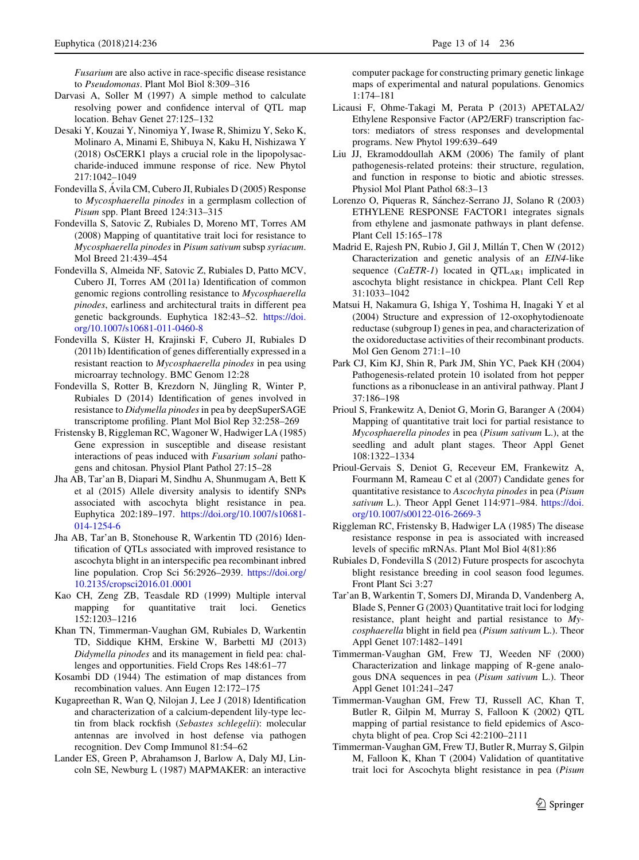<span id="page-12-0"></span>Fusarium are also active in race-specific disease resistance to Pseudomonas. Plant Mol Biol 8:309–316

- Darvasi A, Soller M (1997) A simple method to calculate resolving power and confidence interval of QTL map location. Behav Genet 27:125–132
- Desaki Y, Kouzai Y, Ninomiya Y, Iwase R, Shimizu Y, Seko K, Molinaro A, Minami E, Shibuya N, Kaku H, Nishizawa Y (2018) OsCERK1 plays a crucial role in the lipopolysaccharide-induced immune response of rice. New Phytol 217:1042–1049
- Fondevilla S, Avila CM, Cubero JI, Rubiales D (2005) Response to Mycosphaerella pinodes in a germplasm collection of Pisum spp. Plant Breed 124:313–315
- Fondevilla S, Satovic Z, Rubiales D, Moreno MT, Torres AM (2008) Mapping of quantitative trait loci for resistance to Mycosphaerella pinodes in Pisum sativum subsp syriacum. Mol Breed 21:439–454
- Fondevilla S, Almeida NF, Satovic Z, Rubiales D, Patto MCV, Cubero JI, Torres AM (2011a) Identification of common genomic regions controlling resistance to Mycosphaerella pinodes, earliness and architectural traits in different pea genetic backgrounds. Euphytica 182:43–52. [https://doi.](https://doi.org/10.1007/s10681-011-0460-8) [org/10.1007/s10681-011-0460-8](https://doi.org/10.1007/s10681-011-0460-8)
- Fondevilla S, Küster H, Krajinski F, Cubero JI, Rubiales D (2011b) Identification of genes differentially expressed in a resistant reaction to Mycosphaerella pinodes in pea using microarray technology. BMC Genom 12:28
- Fondevilla S, Rotter B, Krezdorn N, Jüngling R, Winter P, Rubiales D (2014) Identification of genes involved in resistance to Didymella pinodes in pea by deepSuperSAGE transcriptome profiling. Plant Mol Biol Rep 32:258–269
- Fristensky B, Riggleman RC, Wagoner W, Hadwiger LA (1985) Gene expression in susceptible and disease resistant interactions of peas induced with Fusarium solani pathogens and chitosan. Physiol Plant Pathol 27:15–28
- Jha AB, Tar'an B, Diapari M, Sindhu A, Shunmugam A, Bett K et al (2015) Allele diversity analysis to identify SNPs associated with ascochyta blight resistance in pea. Euphytica 202:189–197. [https://doi.org/10.1007/s10681-](https://doi.org/10.1007/s10681-014-1254-6) [014-1254-6](https://doi.org/10.1007/s10681-014-1254-6)
- Jha AB, Tar'an B, Stonehouse R, Warkentin TD (2016) Identification of QTLs associated with improved resistance to ascochyta blight in an interspecific pea recombinant inbred line population. Crop Sci 56:2926–2939. [https://doi.org/](https://doi.org/10.2135/cropsci2016.01.0001) [10.2135/cropsci2016.01.0001](https://doi.org/10.2135/cropsci2016.01.0001)
- Kao CH, Zeng ZB, Teasdale RD (1999) Multiple interval mapping for quantitative trait loci. Genetics 152:1203–1216
- Khan TN, Timmerman-Vaughan GM, Rubiales D, Warkentin TD, Siddique KHM, Erskine W, Barbetti MJ (2013) Didymella pinodes and its management in field pea: challenges and opportunities. Field Crops Res 148:61–77
- Kosambi DD (1944) The estimation of map distances from recombination values. Ann Eugen 12:172–175
- Kugapreethan R, Wan Q, Nilojan J, Lee J (2018) Identification and characterization of a calcium-dependent lily-type lectin from black rockfish (Sebastes schlegelii): molecular antennas are involved in host defense via pathogen recognition. Dev Comp Immunol 81:54–62
- Lander ES, Green P, Abrahamson J, Barlow A, Daly MJ, Lincoln SE, Newburg L (1987) MAPMAKER: an interactive

computer package for constructing primary genetic linkage maps of experimental and natural populations. Genomics 1:174–181

- Licausi F, Ohme-Takagi M, Perata P (2013) APETALA2/ Ethylene Responsive Factor (AP2/ERF) transcription factors: mediators of stress responses and developmental programs. New Phytol 199:639–649
- Liu JJ, Ekramoddoullah AKM (2006) The family of plant pathogenesis-related proteins: their structure, regulation, and function in response to biotic and abiotic stresses. Physiol Mol Plant Pathol 68:3–13
- Lorenzo O, Piqueras R, Sánchez-Serrano JJ, Solano R (2003) ETHYLENE RESPONSE FACTOR1 integrates signals from ethylene and jasmonate pathways in plant defense. Plant Cell 15:165–178
- Madrid E, Rajesh PN, Rubio J, Gil J, Millán T, Chen W (2012) Characterization and genetic analysis of an EIN4-like sequence  $(CaETR-I)$  located in QTL<sub>AR1</sub> implicated in ascochyta blight resistance in chickpea. Plant Cell Rep 31:1033–1042
- Matsui H, Nakamura G, Ishiga Y, Toshima H, Inagaki Y et al (2004) Structure and expression of 12-oxophytodienoate reductase (subgroup I) genes in pea, and characterization of the oxidoreductase activities of their recombinant products. Mol Gen Genom 271:1–10
- Park CJ, Kim KJ, Shin R, Park JM, Shin YC, Paek KH (2004) Pathogenesis-related protein 10 isolated from hot pepper functions as a ribonuclease in an antiviral pathway. Plant J 37:186–198
- Prioul S, Frankewitz A, Deniot G, Morin G, Baranger A (2004) Mapping of quantitative trait loci for partial resistance to Mycosphaerella pinodes in pea (Pisum sativum L.), at the seedling and adult plant stages. Theor Appl Genet 108:1322–1334
- Prioul-Gervais S, Deniot G, Receveur EM, Frankewitz A, Fourmann M, Rameau C et al (2007) Candidate genes for quantitative resistance to Ascochyta pinodes in pea (Pisum sativum L.). Theor Appl Genet 114:971-984. [https://doi.](https://doi.org/10.1007/s00122-016-2669-3) [org/10.1007/s00122-016-2669-3](https://doi.org/10.1007/s00122-016-2669-3)
- Riggleman RC, Fristensky B, Hadwiger LA (1985) The disease resistance response in pea is associated with increased levels of specific mRNAs. Plant Mol Biol 4(81):86
- Rubiales D, Fondevilla S (2012) Future prospects for ascochyta blight resistance breeding in cool season food legumes. Front Plant Sci 3:27
- Tar'an B, Warkentin T, Somers DJ, Miranda D, Vandenberg A, Blade S, Penner G (2003) Quantitative trait loci for lodging resistance, plant height and partial resistance to Mycosphaerella blight in field pea (Pisum sativum L.). Theor Appl Genet 107:1482–1491
- Timmerman-Vaughan GM, Frew TJ, Weeden NF (2000) Characterization and linkage mapping of R-gene analogous DNA sequences in pea (Pisum sativum L.). Theor Appl Genet 101:241–247
- Timmerman-Vaughan GM, Frew TJ, Russell AC, Khan T, Butler R, Gilpin M, Murray S, Falloon K (2002) QTL mapping of partial resistance to field epidemics of Ascochyta blight of pea. Crop Sci 42:2100–2111
- Timmerman-Vaughan GM, Frew TJ, Butler R, Murray S, Gilpin M, Falloon K, Khan T (2004) Validation of quantitative trait loci for Ascochyta blight resistance in pea (Pisum